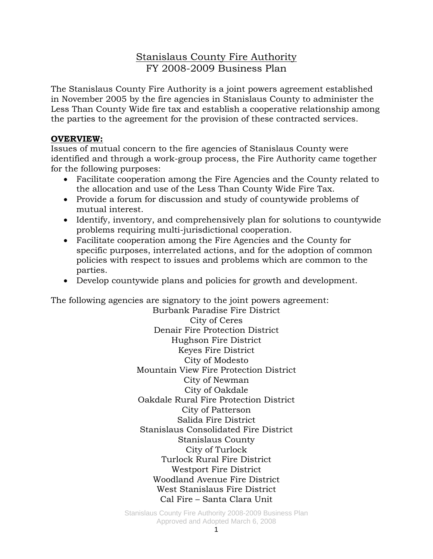## Stanislaus County Fire Authority FY 2008-2009 Business Plan

The Stanislaus County Fire Authority is a joint powers agreement established in November 2005 by the fire agencies in Stanislaus County to administer the Less Than County Wide fire tax and establish a cooperative relationship among the parties to the agreement for the provision of these contracted services.

#### **OVERVIEW:**

Issues of mutual concern to the fire agencies of Stanislaus County were identified and through a work-group process, the Fire Authority came together for the following purposes:

- Facilitate cooperation among the Fire Agencies and the County related to the allocation and use of the Less Than County Wide Fire Tax.
- Provide a forum for discussion and study of countywide problems of mutual interest.
- Identify, inventory, and comprehensively plan for solutions to countywide problems requiring multi-jurisdictional cooperation.
- Facilitate cooperation among the Fire Agencies and the County for specific purposes, interrelated actions, and for the adoption of common policies with respect to issues and problems which are common to the parties.
- Develop countywide plans and policies for growth and development.

The following agencies are signatory to the joint powers agreement:

Burbank Paradise Fire District City of Ceres Denair Fire Protection District Hughson Fire District Keyes Fire District City of Modesto Mountain View Fire Protection District City of Newman City of Oakdale Oakdale Rural Fire Protection District City of Patterson Salida Fire District Stanislaus Consolidated Fire District Stanislaus County City of Turlock Turlock Rural Fire District Westport Fire District Woodland Avenue Fire District West Stanislaus Fire District Cal Fire – Santa Clara Unit

Stanislaus County Fire Authority 2008-2009 Business Plan Approved and Adopted March 6, 2008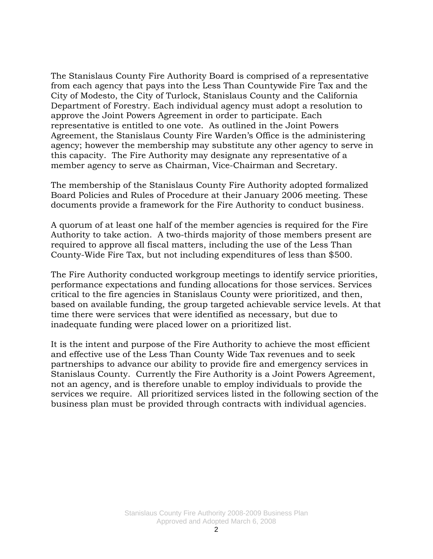The Stanislaus County Fire Authority Board is comprised of a representative from each agency that pays into the Less Than Countywide Fire Tax and the City of Modesto, the City of Turlock, Stanislaus County and the California Department of Forestry. Each individual agency must adopt a resolution to approve the Joint Powers Agreement in order to participate. Each representative is entitled to one vote. As outlined in the Joint Powers Agreement, the Stanislaus County Fire Warden's Office is the administering agency; however the membership may substitute any other agency to serve in this capacity. The Fire Authority may designate any representative of a member agency to serve as Chairman, Vice-Chairman and Secretary.

The membership of the Stanislaus County Fire Authority adopted formalized Board Policies and Rules of Procedure at their January 2006 meeting. These documents provide a framework for the Fire Authority to conduct business.

A quorum of at least one half of the member agencies is required for the Fire Authority to take action. A two-thirds majority of those members present are required to approve all fiscal matters, including the use of the Less Than County-Wide Fire Tax, but not including expenditures of less than \$500.

The Fire Authority conducted workgroup meetings to identify service priorities, performance expectations and funding allocations for those services. Services critical to the fire agencies in Stanislaus County were prioritized, and then, based on available funding, the group targeted achievable service levels. At that time there were services that were identified as necessary, but due to inadequate funding were placed lower on a prioritized list.

It is the intent and purpose of the Fire Authority to achieve the most efficient and effective use of the Less Than County Wide Tax revenues and to seek partnerships to advance our ability to provide fire and emergency services in Stanislaus County. Currently the Fire Authority is a Joint Powers Agreement, not an agency, and is therefore unable to employ individuals to provide the services we require. All prioritized services listed in the following section of the business plan must be provided through contracts with individual agencies.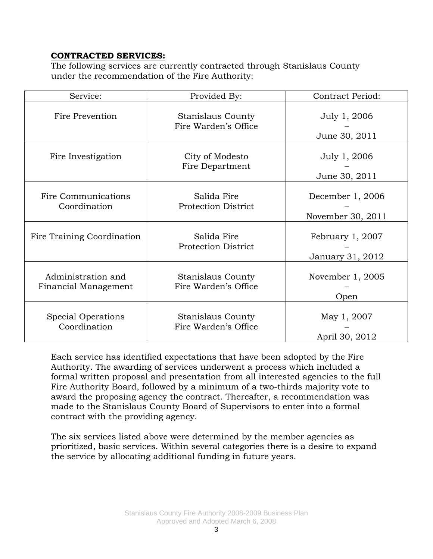### **CONTRACTED SERVICES:**

The following services are currently contracted through Stanislaus County under the recommendation of the Fire Authority:

| Service:                                   | Provided By:                                     | Contract Period:                      |
|--------------------------------------------|--------------------------------------------------|---------------------------------------|
| Fire Prevention                            | Stanislaus County<br>Fire Warden's Office        | July 1, 2006<br>June 30, 2011         |
| Fire Investigation                         | City of Modesto<br>Fire Department               | July 1, 2006<br>June 30, 2011         |
| Fire Communications<br>Coordination        | Salida Fire<br><b>Protection District</b>        | December 1, 2006<br>November 30, 2011 |
| Fire Training Coordination                 | Salida Fire<br><b>Protection District</b>        | February 1, 2007<br>January 31, 2012  |
| Administration and<br>Financial Management | <b>Stanislaus County</b><br>Fire Warden's Office | November 1, 2005<br>Open              |
| Special Operations<br>Coordination         | <b>Stanislaus County</b><br>Fire Warden's Office | May 1, 2007<br>April 30, 2012         |

Each service has identified expectations that have been adopted by the Fire Authority. The awarding of services underwent a process which included a formal written proposal and presentation from all interested agencies to the full Fire Authority Board, followed by a minimum of a two-thirds majority vote to award the proposing agency the contract. Thereafter, a recommendation was made to the Stanislaus County Board of Supervisors to enter into a formal contract with the providing agency.

The six services listed above were determined by the member agencies as prioritized, basic services. Within several categories there is a desire to expand the service by allocating additional funding in future years.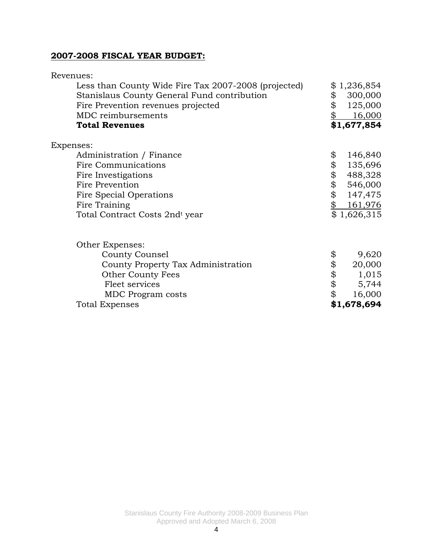### **2007-2008 FISCAL YEAR BUDGET:**

| Revenues:                                            |               |
|------------------------------------------------------|---------------|
| Less than County Wide Fire Tax 2007-2008 (projected) | \$1,236,854   |
| Stanislaus County General Fund contribution          | \$<br>300,000 |
| Fire Prevention revenues projected                   | \$<br>125,000 |
| MDC reimbursements                                   | 16,000        |
| <b>Total Revenues</b>                                | \$1,677,854   |
| Expenses:                                            |               |
| Administration / Finance                             | \$<br>146,840 |
| <b>Fire Communications</b>                           | \$<br>135,696 |
| Fire Investigations                                  | \$<br>488,328 |
| Fire Prevention                                      | \$<br>546,000 |
| Fire Special Operations                              | \$<br>147,475 |
| Fire Training                                        | \$<br>161,976 |
| Total Contract Costs 2ndt year                       | \$1,626,315   |
| Other Expenses:                                      |               |
| County Counsel                                       | \$<br>9,620   |
| County Property Tax Administration                   | \$<br>20,000  |
| <b>Other County Fees</b>                             | \$<br>1,015   |
| Fleet services                                       | \$<br>5,744   |
| <b>MDC</b> Program costs                             | \$<br>16,000  |
| <b>Total Expenses</b>                                | \$1,678,694   |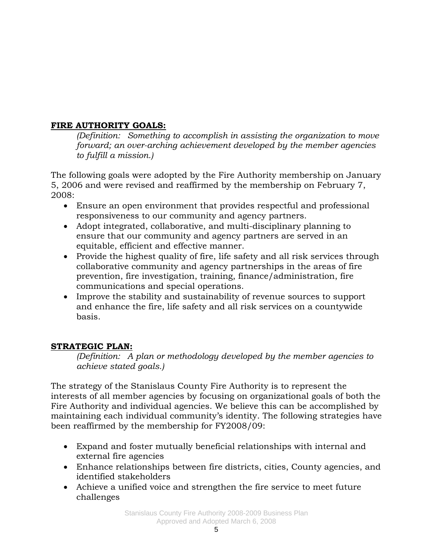## **FIRE AUTHORITY GOALS:**

*(Definition: Something to accomplish in assisting the organization to move forward; an over-arching achievement developed by the member agencies to fulfill a mission.)* 

The following goals were adopted by the Fire Authority membership on January 5, 2006 and were revised and reaffirmed by the membership on February 7, 2008:

- Ensure an open environment that provides respectful and professional responsiveness to our community and agency partners.
- Adopt integrated, collaborative, and multi-disciplinary planning to ensure that our community and agency partners are served in an equitable, efficient and effective manner.
- Provide the highest quality of fire, life safety and all risk services through collaborative community and agency partnerships in the areas of fire prevention, fire investigation, training, finance/administration, fire communications and special operations.
- Improve the stability and sustainability of revenue sources to support and enhance the fire, life safety and all risk services on a countywide basis.

### **STRATEGIC PLAN:**

*(Definition: A plan or methodology developed by the member agencies to achieve stated goals.)* 

The strategy of the Stanislaus County Fire Authority is to represent the interests of all member agencies by focusing on organizational goals of both the Fire Authority and individual agencies. We believe this can be accomplished by maintaining each individual community's identity. The following strategies have been reaffirmed by the membership for FY2008/09:

- Expand and foster mutually beneficial relationships with internal and external fire agencies
- Enhance relationships between fire districts, cities, County agencies, and identified stakeholders
- Achieve a unified voice and strengthen the fire service to meet future challenges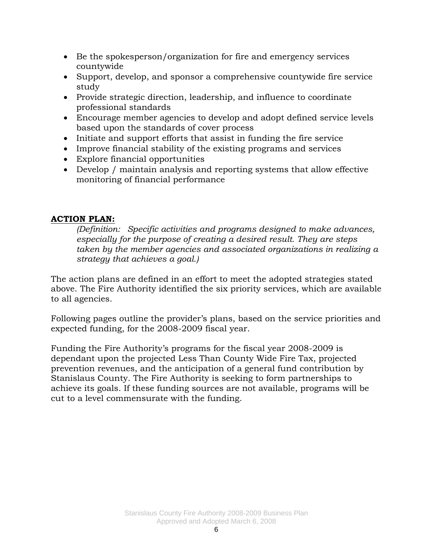- Be the spokesperson/organization for fire and emergency services countywide
- Support, develop, and sponsor a comprehensive countywide fire service study
- Provide strategic direction, leadership, and influence to coordinate professional standards
- Encourage member agencies to develop and adopt defined service levels based upon the standards of cover process
- Initiate and support efforts that assist in funding the fire service
- Improve financial stability of the existing programs and services
- Explore financial opportunities
- Develop / maintain analysis and reporting systems that allow effective monitoring of financial performance

### **ACTION PLAN:**

*(Definition: Specific activities and programs designed to make advances, especially for the purpose of creating a desired result. They are steps taken by the member agencies and associated organizations in realizing a strategy that achieves a goal.)* 

The action plans are defined in an effort to meet the adopted strategies stated above. The Fire Authority identified the six priority services, which are available to all agencies.

Following pages outline the provider's plans, based on the service priorities and expected funding, for the 2008-2009 fiscal year.

Funding the Fire Authority's programs for the fiscal year 2008-2009 is dependant upon the projected Less Than County Wide Fire Tax, projected prevention revenues, and the anticipation of a general fund contribution by Stanislaus County. The Fire Authority is seeking to form partnerships to achieve its goals. If these funding sources are not available, programs will be cut to a level commensurate with the funding.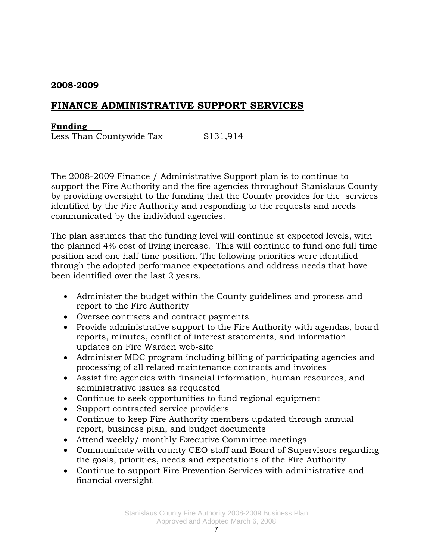# **FINANCE ADMINISTRATIVE SUPPORT SERVICES**

#### **Funding**

Less Than Countywide Tax \$131,914

The 2008-2009 Finance / Administrative Support plan is to continue to support the Fire Authority and the fire agencies throughout Stanislaus County by providing oversight to the funding that the County provides for the services identified by the Fire Authority and responding to the requests and needs communicated by the individual agencies.

The plan assumes that the funding level will continue at expected levels, with the planned 4% cost of living increase. This will continue to fund one full time position and one half time position. The following priorities were identified through the adopted performance expectations and address needs that have been identified over the last 2 years.

- Administer the budget within the County guidelines and process and report to the Fire Authority
- Oversee contracts and contract payments
- Provide administrative support to the Fire Authority with agendas, board reports, minutes, conflict of interest statements, and information updates on Fire Warden web-site
- Administer MDC program including billing of participating agencies and processing of all related maintenance contracts and invoices
- Assist fire agencies with financial information, human resources, and administrative issues as requested
- Continue to seek opportunities to fund regional equipment
- Support contracted service providers
- Continue to keep Fire Authority members updated through annual report, business plan, and budget documents
- Attend weekly/ monthly Executive Committee meetings
- Communicate with county CEO staff and Board of Supervisors regarding the goals, priorities, needs and expectations of the Fire Authority
- Continue to support Fire Prevention Services with administrative and financial oversight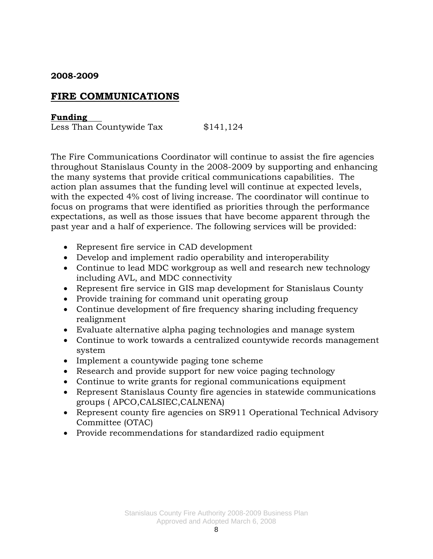## **FIRE COMMUNICATIONS**

#### **Funding**

Less Than Countywide Tax \$141,124

The Fire Communications Coordinator will continue to assist the fire agencies throughout Stanislaus County in the 2008-2009 by supporting and enhancing the many systems that provide critical communications capabilities. The action plan assumes that the funding level will continue at expected levels, with the expected 4% cost of living increase. The coordinator will continue to focus on programs that were identified as priorities through the performance expectations, as well as those issues that have become apparent through the past year and a half of experience. The following services will be provided:

- Represent fire service in CAD development
- Develop and implement radio operability and interoperability
- Continue to lead MDC workgroup as well and research new technology including AVL, and MDC connectivity
- Represent fire service in GIS map development for Stanislaus County
- Provide training for command unit operating group
- Continue development of fire frequency sharing including frequency realignment
- Evaluate alternative alpha paging technologies and manage system
- Continue to work towards a centralized countywide records management system
- Implement a countywide paging tone scheme
- Research and provide support for new voice paging technology
- Continue to write grants for regional communications equipment
- Represent Stanislaus County fire agencies in statewide communications groups ( APCO,CALSIEC,CALNENA)
- Represent county fire agencies on SR911 Operational Technical Advisory Committee (OTAC)
- Provide recommendations for standardized radio equipment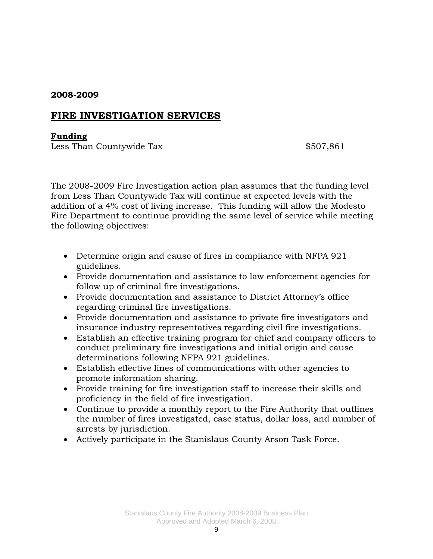## **FIRE INVESTIGATION SERVICES**

#### **Funding**

Less Than Countywide Tax  $$507,861$ 

The 2008-2009 Fire Investigation action plan assumes that the funding level from Less Than Countywide Tax will continue at expected levels with the addition of a 4% cost of living increase. This funding will allow the Modesto Fire Department to continue providing the same level of service while meeting the following objectives:

- Determine origin and cause of fires in compliance with NFPA 921 guidelines.
- Provide documentation and assistance to law enforcement agencies for follow up of criminal fire investigations.
- Provide documentation and assistance to District Attorney's office regarding criminal fire investigations.
- Provide documentation and assistance to private fire investigators and insurance industry representatives regarding civil fire investigations.
- Establish an effective training program for chief and company officers to conduct preliminary fire investigations and initial origin and cause determinations following NFPA 921 guidelines.
- Establish effective lines of communications with other agencies to promote information sharing.
- Provide training for fire investigation staff to increase their skills and proficiency in the field of fire investigation.
- Continue to provide a monthly report to the Fire Authority that outlines the number of fires investigated, case status, dollar loss, and number of arrests by jurisdiction.
- Actively participate in the Stanislaus County Arson Task Force.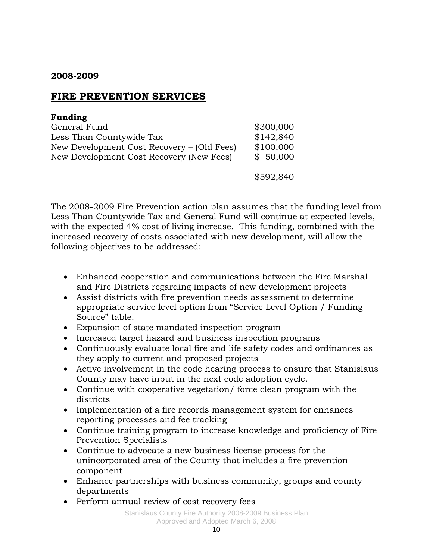# **FIRE PREVENTION SERVICES**

| <b>Funding</b>                             |           |
|--------------------------------------------|-----------|
| General Fund                               | \$300,000 |
| Less Than Countywide Tax                   | \$142,840 |
| New Development Cost Recovery – (Old Fees) | \$100,000 |
| New Development Cost Recovery (New Fees)   | \$50,000  |
|                                            | \$592,840 |

The 2008-2009 Fire Prevention action plan assumes that the funding level from Less Than Countywide Tax and General Fund will continue at expected levels, with the expected 4% cost of living increase. This funding, combined with the increased recovery of costs associated with new development, will allow the following objectives to be addressed:

- Enhanced cooperation and communications between the Fire Marshal and Fire Districts regarding impacts of new development projects
- Assist districts with fire prevention needs assessment to determine appropriate service level option from "Service Level Option / Funding Source" table.
- Expansion of state mandated inspection program
- Increased target hazard and business inspection programs
- Continuously evaluate local fire and life safety codes and ordinances as they apply to current and proposed projects
- Active involvement in the code hearing process to ensure that Stanislaus County may have input in the next code adoption cycle.
- Continue with cooperative vegetation/ force clean program with the districts
- Implementation of a fire records management system for enhances reporting processes and fee tracking
- Continue training program to increase knowledge and proficiency of Fire Prevention Specialists
- Continue to advocate a new business license process for the unincorporated area of the County that includes a fire prevention component
- Enhance partnerships with business community, groups and county departments
- Perform annual review of cost recovery fees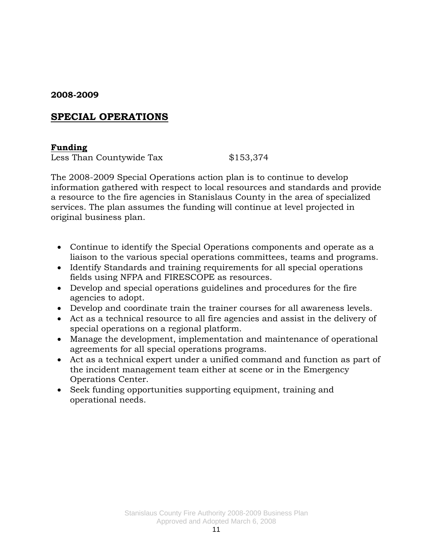# **SPECIAL OPERATIONS**

### **Funding**

Less Than Countywide Tax \$153,374

The 2008-2009 Special Operations action plan is to continue to develop information gathered with respect to local resources and standards and provide a resource to the fire agencies in Stanislaus County in the area of specialized services. The plan assumes the funding will continue at level projected in original business plan.

- Continue to identify the Special Operations components and operate as a liaison to the various special operations committees, teams and programs.
- Identify Standards and training requirements for all special operations fields using NFPA and FIRESCOPE as resources.
- Develop and special operations guidelines and procedures for the fire agencies to adopt.
- Develop and coordinate train the trainer courses for all awareness levels.
- Act as a technical resource to all fire agencies and assist in the delivery of special operations on a regional platform.
- Manage the development, implementation and maintenance of operational agreements for all special operations programs.
- Act as a technical expert under a unified command and function as part of the incident management team either at scene or in the Emergency Operations Center.
- Seek funding opportunities supporting equipment, training and operational needs.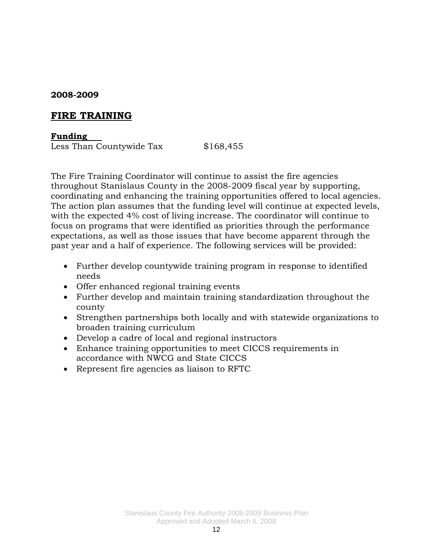# **FIRE TRAINING**

#### **Funding**

Less Than Countywide Tax \$168,455

The Fire Training Coordinator will continue to assist the fire agencies throughout Stanislaus County in the 2008-2009 fiscal year by supporting, coordinating and enhancing the training opportunities offered to local agencies. The action plan assumes that the funding level will continue at expected levels, with the expected 4% cost of living increase. The coordinator will continue to focus on programs that were identified as priorities through the performance expectations, as well as those issues that have become apparent through the past year and a half of experience. The following services will be provided:

- Further develop countywide training program in response to identified needs
- Offer enhanced regional training events
- Further develop and maintain training standardization throughout the county
- Strengthen partnerships both locally and with statewide organizations to broaden training curriculum
- Develop a cadre of local and regional instructors
- Enhance training opportunities to meet CICCS requirements in accordance with NWCG and State CICCS
- Represent fire agencies as liaison to RFTC